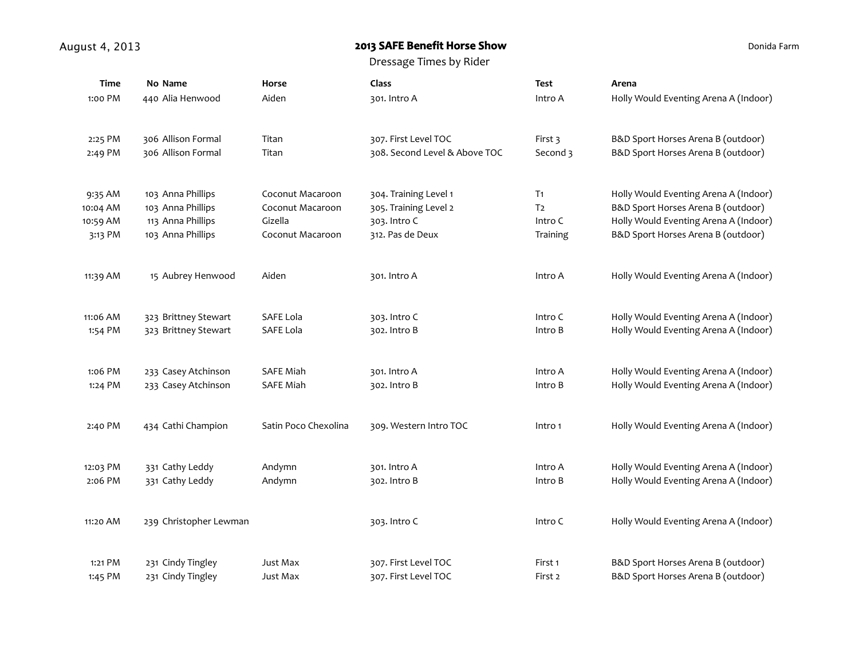## August 4, 2013 **August 4, 2013 August 4, 2013 August 4, 2013 ALC**

Donida Farm

| <b>Time</b> | No Name                | Horse                | Class                         | <b>Test</b>    | Arena                                 |
|-------------|------------------------|----------------------|-------------------------------|----------------|---------------------------------------|
| 1:00 PM     | 440 Alia Henwood       | Aiden                | 301. Intro A                  | Intro A        | Holly Would Eventing Arena A (Indoor) |
| 2:25 PM     | 306 Allison Formal     | Titan                | 307. First Level TOC          | First 3        | B&D Sport Horses Arena B (outdoor)    |
| 2:49 PM     | 306 Allison Formal     | Titan                | 308. Second Level & Above TOC | Second 3       | B&D Sport Horses Arena B (outdoor)    |
| 9:35 AM     | 103 Anna Phillips      | Coconut Macaroon     | 304. Training Level 1         | T <sub>1</sub> | Holly Would Eventing Arena A (Indoor) |
| 10:04 AM    | 103 Anna Phillips      | Coconut Macaroon     | 305. Training Level 2         | T <sub>2</sub> | B&D Sport Horses Arena B (outdoor)    |
| 10:59 AM    | 113 Anna Phillips      | Gizella              | 303. Intro C                  | Intro C        | Holly Would Eventing Arena A (Indoor) |
| 3:13 PM     | 103 Anna Phillips      | Coconut Macaroon     | 312. Pas de Deux              | Training       | B&D Sport Horses Arena B (outdoor)    |
| 11:39 AM    | 15 Aubrey Henwood      | Aiden                | 301. Intro A                  | Intro A        | Holly Would Eventing Arena A (Indoor) |
| 11:06 AM    | 323 Brittney Stewart   | SAFE Lola            | 303. Intro C                  | Intro C        | Holly Would Eventing Arena A (Indoor) |
| 1:54 PM     | 323 Brittney Stewart   | SAFE Lola            | 302. Intro B                  | Intro B        | Holly Would Eventing Arena A (Indoor) |
| 1:06 PM     | 233 Casey Atchinson    | <b>SAFE Miah</b>     | 301. Intro A                  | Intro A        | Holly Would Eventing Arena A (Indoor) |
| 1:24 PM     | 233 Casey Atchinson    | <b>SAFE Miah</b>     | 302. Intro B                  | Intro B        | Holly Would Eventing Arena A (Indoor) |
| 2:40 PM     | 434 Cathi Champion     | Satin Poco Chexolina | 309. Western Intro TOC        | Intro 1        | Holly Would Eventing Arena A (Indoor) |
| 12:03 PM    | 331 Cathy Leddy        | Andymn               | 301. Intro A                  | Intro A        | Holly Would Eventing Arena A (Indoor) |
| 2:06 PM     | 331 Cathy Leddy        | Andymn               | 302. Intro B                  | Intro B        | Holly Would Eventing Arena A (Indoor) |
| 11:20 AM    | 239 Christopher Lewman |                      | 303. Intro C                  | Intro C        | Holly Would Eventing Arena A (Indoor) |
| 1:21 PM     | 231 Cindy Tingley      | Just Max             | 307. First Level TOC          | First 1        | B&D Sport Horses Arena B (outdoor)    |
| 1:45 PM     | 231 Cindy Tingley      | Just Max             | 307. First Level TOC          | First 2        | B&D Sport Horses Arena B (outdoor)    |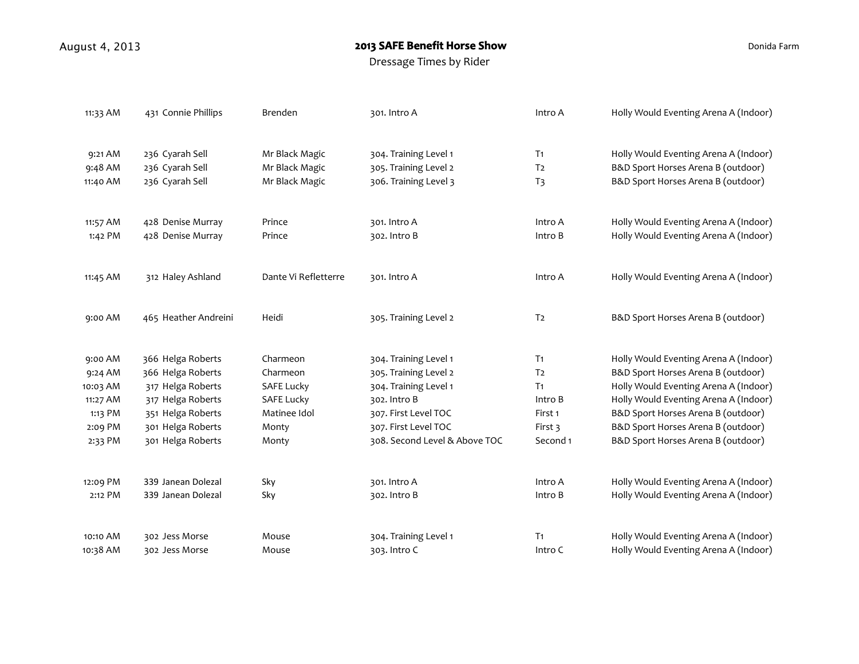## August 4, 2013 **August 4, 2013 August 4, 2013 August 4, 2013 ALC**

Donida Farm

| 11:33 AM | 431 Connie Phillips  | Brenden              | 301. Intro A                  | Intro A        | Holly Would Eventing Arena A (Indoor) |
|----------|----------------------|----------------------|-------------------------------|----------------|---------------------------------------|
| 9:21 AM  | 236 Cyarah Sell      | Mr Black Magic       | 304. Training Level 1         | T <sub>1</sub> | Holly Would Eventing Arena A (Indoor) |
| 9:48 AM  | 236 Cyarah Sell      | Mr Black Magic       | 305. Training Level 2         | T <sub>2</sub> | B&D Sport Horses Arena B (outdoor)    |
| 11:40 AM | 236 Cyarah Sell      | Mr Black Magic       | 306. Training Level 3         | T <sub>3</sub> | B&D Sport Horses Arena B (outdoor)    |
| 11:57 AM | 428 Denise Murray    | Prince               | 301. Intro A                  | Intro A        | Holly Would Eventing Arena A (Indoor) |
| 1:42 PM  | 428 Denise Murray    | Prince               | 302. Intro B                  | Intro B        | Holly Would Eventing Arena A (Indoor) |
| 11:45 AM | 312 Haley Ashland    | Dante Vi Refletterre | 301. Intro A                  | Intro A        | Holly Would Eventing Arena A (Indoor) |
| 9:00 AM  | 465 Heather Andreini | Heidi                | 305. Training Level 2         | T <sub>2</sub> | B&D Sport Horses Arena B (outdoor)    |
| 9:00 AM  | 366 Helga Roberts    | Charmeon             | 304. Training Level 1         | T <sub>1</sub> | Holly Would Eventing Arena A (Indoor) |
| 9:24 AM  | 366 Helga Roberts    | Charmeon             | 305. Training Level 2         | T <sub>2</sub> | B&D Sport Horses Arena B (outdoor)    |
| 10:03 AM | 317 Helga Roberts    | <b>SAFE Lucky</b>    | 304. Training Level 1         | T <sub>1</sub> | Holly Would Eventing Arena A (Indoor) |
| 11:27 AM | 317 Helga Roberts    | <b>SAFE Lucky</b>    | 302. Intro B                  | Intro B        | Holly Would Eventing Arena A (Indoor) |
| 1:13 PM  | 351 Helga Roberts    | Matinee Idol         | 307. First Level TOC          | First 1        | B&D Sport Horses Arena B (outdoor)    |
| 2:09 PM  | 301 Helga Roberts    | Monty                | 307. First Level TOC          | First 3        | B&D Sport Horses Arena B (outdoor)    |
| 2:33 PM  | 301 Helga Roberts    | Monty                | 308. Second Level & Above TOC | Second 1       | B&D Sport Horses Arena B (outdoor)    |
| 12:09 PM | 339 Janean Dolezal   | Sky                  | 301. Intro A                  | Intro A        | Holly Would Eventing Arena A (Indoor) |
| 2:12 PM  | 339 Janean Dolezal   | Sky                  | 302. Intro B                  | Intro B        | Holly Would Eventing Arena A (Indoor) |
| 10:10 AM | 302 Jess Morse       | Mouse                | 304. Training Level 1         | T <sub>1</sub> | Holly Would Eventing Arena A (Indoor) |
| 10:38 AM | 302 Jess Morse       | Mouse                | 303. Intro C                  | Intro C        | Holly Would Eventing Arena A (Indoor) |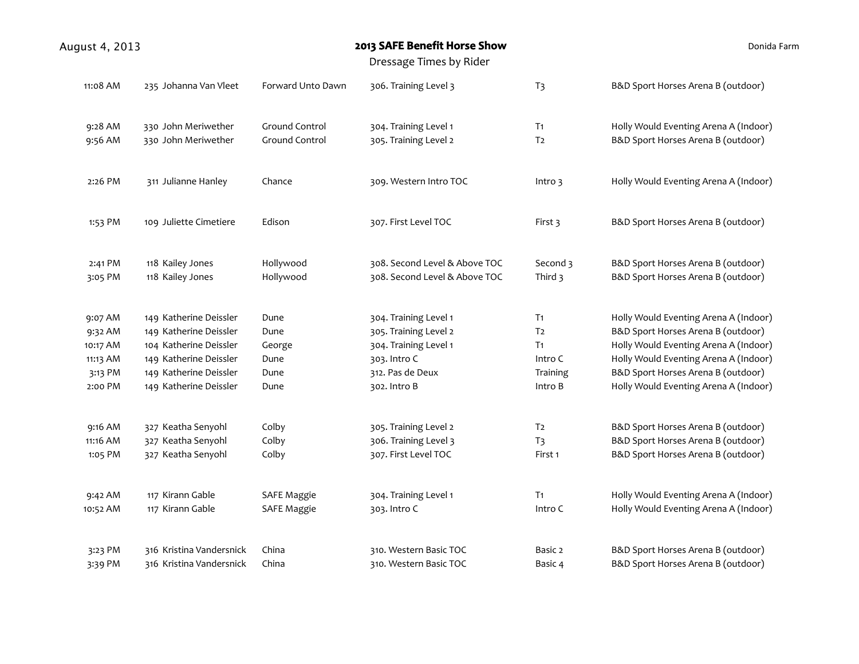| August 4, 2013 |                          |                         | 2013 SAFE Benefit Horse Show  | Donida Farm    |                                       |  |
|----------------|--------------------------|-------------------------|-------------------------------|----------------|---------------------------------------|--|
|                |                          | Dressage Times by Rider |                               |                |                                       |  |
| 11:08 AM       | 235 Johanna Van Vleet    | Forward Unto Dawn       | 306. Training Level 3         | T <sub>3</sub> | B&D Sport Horses Arena B (outdoor)    |  |
| 9:28 AM        | 330 John Meriwether      | Ground Control          | 304. Training Level 1         | T <sub>1</sub> | Holly Would Eventing Arena A (Indoor) |  |
| 9:56 AM        | 330 John Meriwether      | Ground Control          | 305. Training Level 2         | T <sub>2</sub> | B&D Sport Horses Arena B (outdoor)    |  |
| 2:26 PM        | 311 Julianne Hanley      | Chance                  | 309. Western Intro TOC        | Intro $3$      | Holly Would Eventing Arena A (Indoor) |  |
| 1:53 PM        | 109 Juliette Cimetiere   | Edison                  | 307. First Level TOC          | First 3        | B&D Sport Horses Arena B (outdoor)    |  |
| 2:41 PM        | 118 Kailey Jones         | Hollywood               | 308. Second Level & Above TOC | Second 3       | B&D Sport Horses Arena B (outdoor)    |  |
| 3:05 PM        | 118 Kailey Jones         | Hollywood               | 308. Second Level & Above TOC | Third 3        | B&D Sport Horses Arena B (outdoor)    |  |
| 9:07 AM        | 149 Katherine Deissler   | Dune                    | 304. Training Level 1         | T <sub>1</sub> | Holly Would Eventing Arena A (Indoor) |  |
| 9:32 AM        | 149 Katherine Deissler   | Dune                    | 305. Training Level 2         | T <sub>2</sub> | B&D Sport Horses Arena B (outdoor)    |  |
| 10:17 AM       | 104 Katherine Deissler   | George                  | 304. Training Level 1         | T <sub>1</sub> | Holly Would Eventing Arena A (Indoor) |  |
| 11:13 AM       | 149 Katherine Deissler   | Dune                    | 303. Intro C                  | Intro C        | Holly Would Eventing Arena A (Indoor) |  |
| 3:13 PM        | 149 Katherine Deissler   | Dune                    | 312. Pas de Deux              | Training       | B&D Sport Horses Arena B (outdoor)    |  |
| 2:00 PM        | 149 Katherine Deissler   | Dune                    | 302. Intro B                  | Intro B        | Holly Would Eventing Arena A (Indoor) |  |
| 9:16 AM        | 327 Keatha Senyohl       | Colby                   | 305. Training Level 2         | T <sub>2</sub> | B&D Sport Horses Arena B (outdoor)    |  |
| 11:16 AM       | 327 Keatha Senyohl       | Colby                   | 306. Training Level 3         | T <sub>3</sub> | B&D Sport Horses Arena B (outdoor)    |  |
| 1:05 PM        | 327 Keatha Senyohl       | Colby                   | 307. First Level TOC          | First 1        | B&D Sport Horses Arena B (outdoor)    |  |
| 9:42 AM        | 117 Kirann Gable         | <b>SAFE Maggie</b>      | 304. Training Level 1         | T <sub>1</sub> | Holly Would Eventing Arena A (Indoor) |  |
| 10:52 AM       | 117 Kirann Gable         | <b>SAFE Maggie</b>      | 303. Intro C                  | Intro C        | Holly Would Eventing Arena A (Indoor) |  |
| 3:23 PM        | 316 Kristina Vandersnick | China                   | 310. Western Basic TOC        | Basic 2        | B&D Sport Horses Arena B (outdoor)    |  |
| 3:39 PM        | 316 Kristina Vandersnick | China                   | 310. Western Basic TOC        | Basic 4        | B&D Sport Horses Arena B (outdoor)    |  |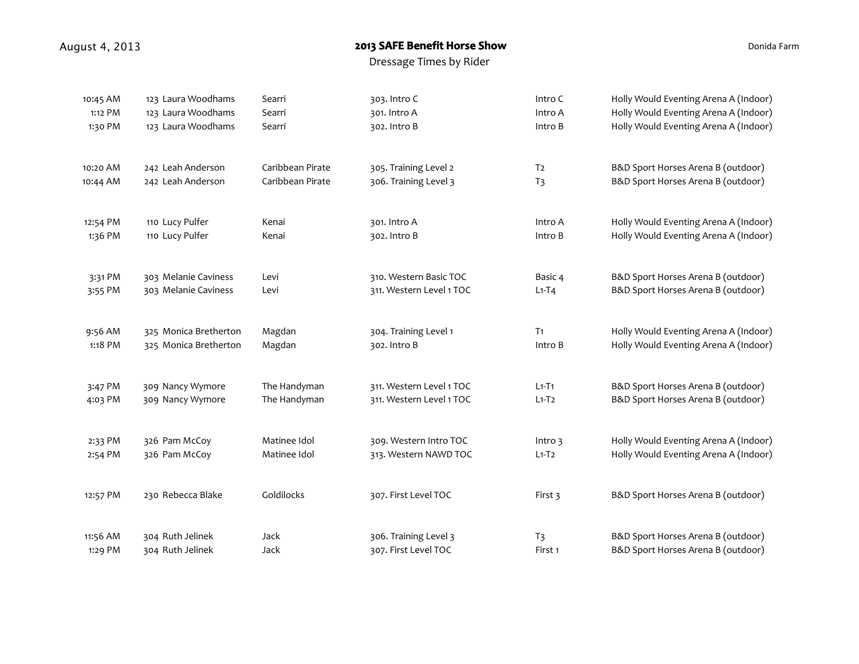## August 4, 2013 **August 4, 2013 August 4, 2013 August 4, 2013 ALC**

Donida Farm

| 10:45 AM | 123 Laura Woodhams    | Searri           | 303. Intro C             | Intro C        | Holly Would Eventing Arena A (Indoor) |
|----------|-----------------------|------------------|--------------------------|----------------|---------------------------------------|
| 1:12 PM  | 123 Laura Woodhams    | Searri           | 301. Intro A             | Intro A        | Holly Would Eventing Arena A (Indoor) |
| 1:30 PM  | 123 Laura Woodhams    | Searri           | 302. Intro B             | Intro B        | Holly Would Eventing Arena A (Indoor) |
| 10:20 AM | 242 Leah Anderson     | Caribbean Pirate | 305. Training Level 2    | T <sub>2</sub> | B&D Sport Horses Arena B (outdoor)    |
| 10:44 AM | 242 Leah Anderson     | Caribbean Pirate | 306. Training Level 3    | T <sub>3</sub> | B&D Sport Horses Arena B (outdoor)    |
| 12:54 PM | 110 Lucy Pulfer       | Kenai            | 301. Intro A             | Intro A        | Holly Would Eventing Arena A (Indoor) |
| 1:36 PM  | 110 Lucy Pulfer       | Kenai            | 302. Intro B             | Intro B        | Holly Would Eventing Arena A (Indoor) |
| 3:31 PM  | 303 Melanie Caviness  | Levi             | 310. Western Basic TOC   | Basic 4        | B&D Sport Horses Arena B (outdoor)    |
| 3:55 PM  | 303 Melanie Caviness  | Levi             | 311. Western Level 1 TOC | $L1-T4$        | B&D Sport Horses Arena B (outdoor)    |
| 9:56 AM  | 325 Monica Bretherton | Magdan           | 304. Training Level 1    | T <sub>1</sub> | Holly Would Eventing Arena A (Indoor) |
| 1:18 PM  | 325 Monica Bretherton | Magdan           | 302. Intro B             | Intro B        | Holly Would Eventing Arena A (Indoor) |
| 3:47 PM  | 309 Nancy Wymore      | The Handyman     | 311. Western Level 1 TOC | $L1-T1$        | B&D Sport Horses Arena B (outdoor)    |
| 4:03 PM  | 309 Nancy Wymore      | The Handyman     | 311. Western Level 1 TOC | $L1-T2$        | B&D Sport Horses Arena B (outdoor)    |
| 2:33 PM  | 326 Pam McCoy         | Matinee Idol     | 309. Western Intro TOC   | Intro 3        | Holly Would Eventing Arena A (Indoor) |
| 2:54 PM  | 326 Pam McCoy         | Matinee Idol     | 313. Western NAWD TOC    | $L1-T2$        | Holly Would Eventing Arena A (Indoor) |
| 12:57 PM | 230 Rebecca Blake     | Goldilocks       | 307. First Level TOC     | First 3        | B&D Sport Horses Arena B (outdoor)    |
| 11:56 AM | 304 Ruth Jelinek      | Jack             | 306. Training Level 3    | T <sub>3</sub> | B&D Sport Horses Arena B (outdoor)    |
| 1:29 PM  | 304 Ruth Jelinek      | Jack             | 307. First Level TOC     | First 1        | B&D Sport Horses Arena B (outdoor)    |